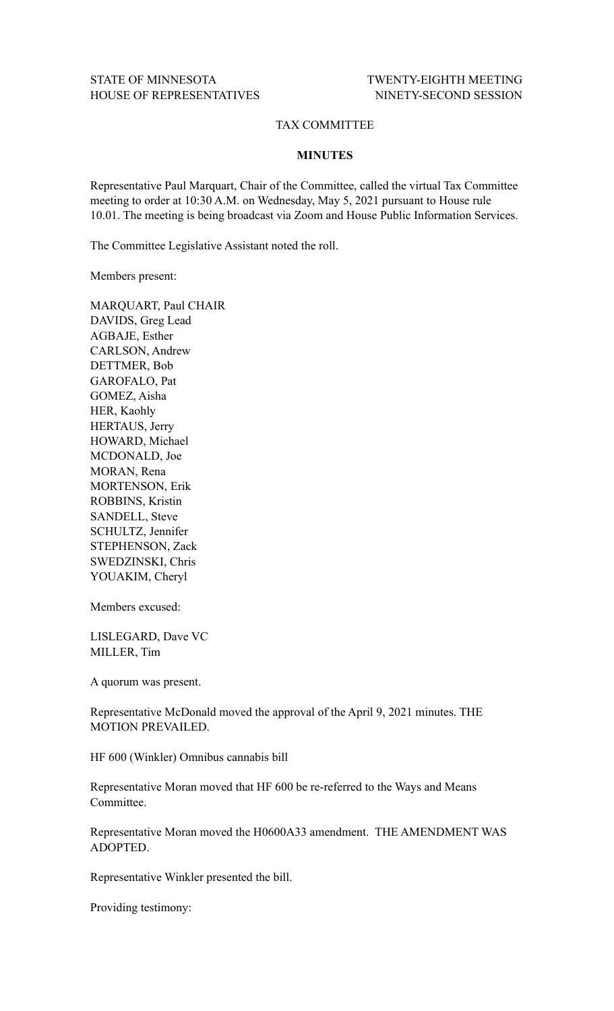## TAX COMMITTEE

## **MINUTES**

Representative Paul Marquart, Chair of the Committee, called the virtual Tax Committee meeting to order at 10:30 A.M. on Wednesday, May 5, 2021 pursuant to House rule 10.01. The meeting is being broadcast via Zoom and House Public Information Services.

The Committee Legislative Assistant noted the roll.

Members present:

MARQUART, Paul CHAIR DAVIDS, Greg Lead AGBAJE, Esther CARLSON, Andrew DETTMER, Bob GAROFALO, Pat GOMEZ, Aisha HER, Kaohly HERTAUS, Jerry HOWARD, Michael MCDONALD, Joe MORAN, Rena MORTENSON, Erik ROBBINS, Kristin SANDELL, Steve SCHULTZ, Jennifer STEPHENSON, Zack SWEDZINSKI, Chris YOUAKIM, Cheryl

Members excused:

LISLEGARD, Dave VC MILLER, Tim

A quorum was present.

Representative McDonald moved the approval of the April 9, 2021 minutes. THE MOTION PREVAILED.

HF 600 (Winkler) Omnibus cannabis bill

Representative Moran moved that HF 600 be re-referred to the Ways and Means Committee.

Representative Moran moved the H0600A33 amendment. THE AMENDMENT WAS ADOPTED.

Representative Winkler presented the bill.

Providing testimony: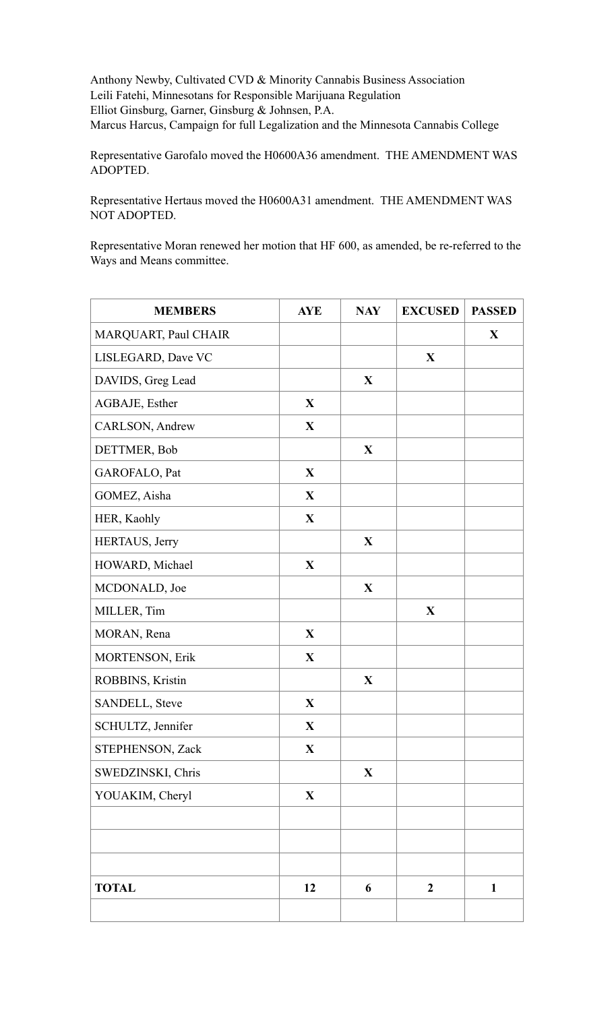Anthony Newby, Cultivated CVD & Minority Cannabis Business Association Leili Fatehi, Minnesotans for Responsible Marijuana Regulation Elliot Ginsburg, Garner, Ginsburg & Johnsen, P.A. Marcus Harcus, Campaign for full Legalization and the Minnesota Cannabis College

Representative Garofalo moved the H0600A36 amendment. THE AMENDMENT WAS ADOPTED.

Representative Hertaus moved the H0600A31 amendment. THE AMENDMENT WAS NOT ADOPTED.

Representative Moran renewed her motion that HF 600, as amended, be re-referred to the Ways and Means committee.

| <b>MEMBERS</b>       | <b>AYE</b>   | <b>NAY</b>   | <b>EXCUSED</b>   | <b>PASSED</b> |
|----------------------|--------------|--------------|------------------|---------------|
| MARQUART, Paul CHAIR |              |              |                  | X             |
| LISLEGARD, Dave VC   |              |              | $\mathbf{X}$     |               |
| DAVIDS, Greg Lead    |              | X            |                  |               |
| AGBAJE, Esther       | X            |              |                  |               |
| CARLSON, Andrew      | $\mathbf X$  |              |                  |               |
| DETTMER, Bob         |              | $\mathbf{X}$ |                  |               |
| GAROFALO, Pat        | $\mathbf{X}$ |              |                  |               |
| GOMEZ, Aisha         | $\mathbf{X}$ |              |                  |               |
| HER, Kaohly          | $\mathbf{X}$ |              |                  |               |
| HERTAUS, Jerry       |              | $\mathbf{X}$ |                  |               |
| HOWARD, Michael      | $\mathbf X$  |              |                  |               |
| MCDONALD, Joe        |              | $\mathbf{X}$ |                  |               |
| MILLER, Tim          |              |              | $\mathbf{X}$     |               |
| MORAN, Rena          | $\mathbf{X}$ |              |                  |               |
| MORTENSON, Erik      | $\mathbf X$  |              |                  |               |
| ROBBINS, Kristin     |              | $\mathbf X$  |                  |               |
| SANDELL, Steve       | $\mathbf X$  |              |                  |               |
| SCHULTZ, Jennifer    | X            |              |                  |               |
| STEPHENSON, Zack     | X            |              |                  |               |
| SWEDZINSKI, Chris    |              | $\mathbf{X}$ |                  |               |
| YOUAKIM, Cheryl      | $\mathbf{X}$ |              |                  |               |
|                      |              |              |                  |               |
|                      |              |              |                  |               |
|                      |              |              |                  |               |
| <b>TOTAL</b>         | 12           | 6            | $\boldsymbol{2}$ | $\mathbf{1}$  |
|                      |              |              |                  |               |